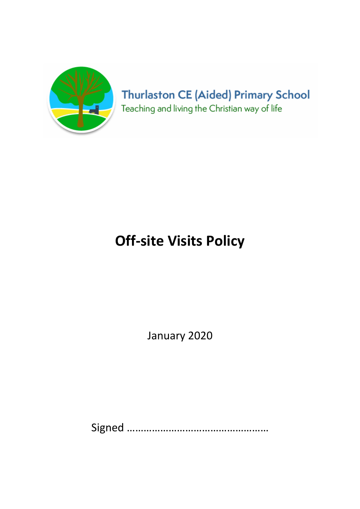

## **Thurlaston CE (Aided) Primary School** Teaching and living the Christian way of life

# Off-site Visits Policy

January 2020

Signed ……………………………………………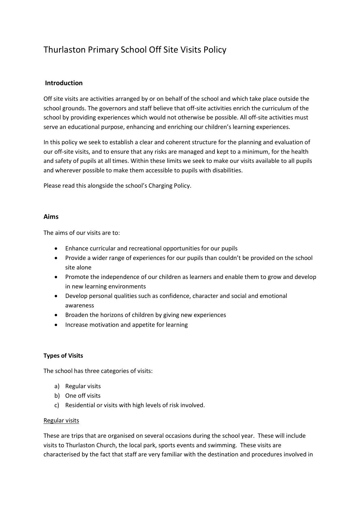### Thurlaston Primary School Off Site Visits Policy

#### Introduction

Off site visits are activities arranged by or on behalf of the school and which take place outside the school grounds. The governors and staff believe that off-site activities enrich the curriculum of the school by providing experiences which would not otherwise be possible. All off-site activities must serve an educational purpose, enhancing and enriching our children's learning experiences.

In this policy we seek to establish a clear and coherent structure for the planning and evaluation of our off-site visits, and to ensure that any risks are managed and kept to a minimum, for the health and safety of pupils at all times. Within these limits we seek to make our visits available to all pupils and wherever possible to make them accessible to pupils with disabilities.

Please read this alongside the school's Charging Policy.

#### Aims

The aims of our visits are to:

- Enhance curricular and recreational opportunities for our pupils
- Provide a wider range of experiences for our pupils than couldn't be provided on the school site alone
- Promote the independence of our children as learners and enable them to grow and develop in new learning environments
- Develop personal qualities such as confidence, character and social and emotional awareness
- Broaden the horizons of children by giving new experiences
- Increase motivation and appetite for learning

#### Types of Visits

The school has three categories of visits:

- a) Regular visits
- b) One off visits
- c) Residential or visits with high levels of risk involved.

#### Regular visits

These are trips that are organised on several occasions during the school year. These will include visits to Thurlaston Church, the local park, sports events and swimming. These visits are characterised by the fact that staff are very familiar with the destination and procedures involved in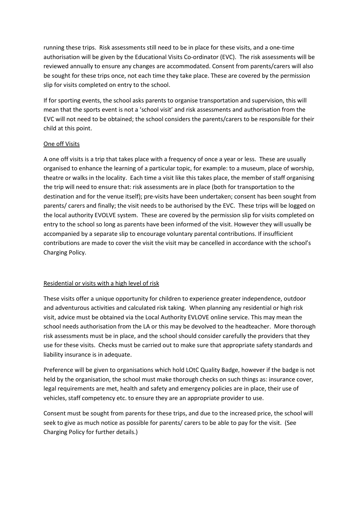running these trips. Risk assessments still need to be in place for these visits, and a one-time authorisation will be given by the Educational Visits Co-ordinator (EVC). The risk assessments will be reviewed annually to ensure any changes are accommodated. Consent from parents/carers will also be sought for these trips once, not each time they take place. These are covered by the permission slip for visits completed on entry to the school.

If for sporting events, the school asks parents to organise transportation and supervision, this will mean that the sports event is not a 'school visit' and risk assessments and authorisation from the EVC will not need to be obtained; the school considers the parents/carers to be responsible for their child at this point.

#### One off Visits

A one off visits is a trip that takes place with a frequency of once a year or less. These are usually organised to enhance the learning of a particular topic, for example: to a museum, place of worship, theatre or walks in the locality. Each time a visit like this takes place, the member of staff organising the trip will need to ensure that: risk assessments are in place (both for transportation to the destination and for the venue itself); pre-visits have been undertaken; consent has been sought from parents/ carers and finally; the visit needs to be authorised by the EVC. These trips will be logged on the local authority EVOLVE system. These are covered by the permission slip for visits completed on entry to the school so long as parents have been informed of the visit. However they will usually be accompanied by a separate slip to encourage voluntary parental contributions. If insufficient contributions are made to cover the visit the visit may be cancelled in accordance with the school's Charging Policy.

#### Residential or visits with a high level of risk

These visits offer a unique opportunity for children to experience greater independence, outdoor and adventurous activities and calculated risk taking. When planning any residential or high risk visit, advice must be obtained via the Local Authority EVLOVE online service. This may mean the school needs authorisation from the LA or this may be devolved to the headteacher. More thorough risk assessments must be in place, and the school should consider carefully the providers that they use for these visits. Checks must be carried out to make sure that appropriate safety standards and liability insurance is in adequate.

Preference will be given to organisations which hold LOtC Quality Badge, however if the badge is not held by the organisation, the school must make thorough checks on such things as: insurance cover, legal requirements are met, health and safety and emergency policies are in place, their use of vehicles, staff competency etc. to ensure they are an appropriate provider to use.

Consent must be sought from parents for these trips, and due to the increased price, the school will seek to give as much notice as possible for parents/ carers to be able to pay for the visit. (See Charging Policy for further details.)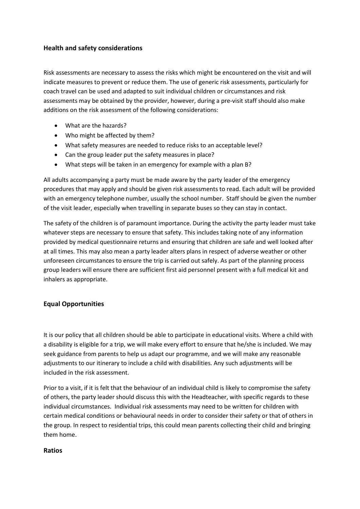#### Health and safety considerations

Risk assessments are necessary to assess the risks which might be encountered on the visit and will indicate measures to prevent or reduce them. The use of generic risk assessments, particularly for coach travel can be used and adapted to suit individual children or circumstances and risk assessments may be obtained by the provider, however, during a pre-visit staff should also make additions on the risk assessment of the following considerations:

- What are the hazards?
- Who might be affected by them?
- What safety measures are needed to reduce risks to an acceptable level?
- Can the group leader put the safety measures in place?
- What steps will be taken in an emergency for example with a plan B?

All adults accompanying a party must be made aware by the party leader of the emergency procedures that may apply and should be given risk assessments to read. Each adult will be provided with an emergency telephone number, usually the school number. Staff should be given the number of the visit leader, especially when travelling in separate buses so they can stay in contact.

The safety of the children is of paramount importance. During the activity the party leader must take whatever steps are necessary to ensure that safety. This includes taking note of any information provided by medical questionnaire returns and ensuring that children are safe and well looked after at all times. This may also mean a party leader alters plans in respect of adverse weather or other unforeseen circumstances to ensure the trip is carried out safely. As part of the planning process group leaders will ensure there are sufficient first aid personnel present with a full medical kit and inhalers as appropriate.

#### Equal Opportunities

It is our policy that all children should be able to participate in educational visits. Where a child with a disability is eligible for a trip, we will make every effort to ensure that he/she is included. We may seek guidance from parents to help us adapt our programme, and we will make any reasonable adjustments to our itinerary to include a child with disabilities. Any such adjustments will be included in the risk assessment.

Prior to a visit, if it is felt that the behaviour of an individual child is likely to compromise the safety of others, the party leader should discuss this with the Headteacher, with specific regards to these individual circumstances. Individual risk assessments may need to be written for children with certain medical conditions or behavioural needs in order to consider their safety or that of others in the group. In respect to residential trips, this could mean parents collecting their child and bringing them home.

#### Ratios